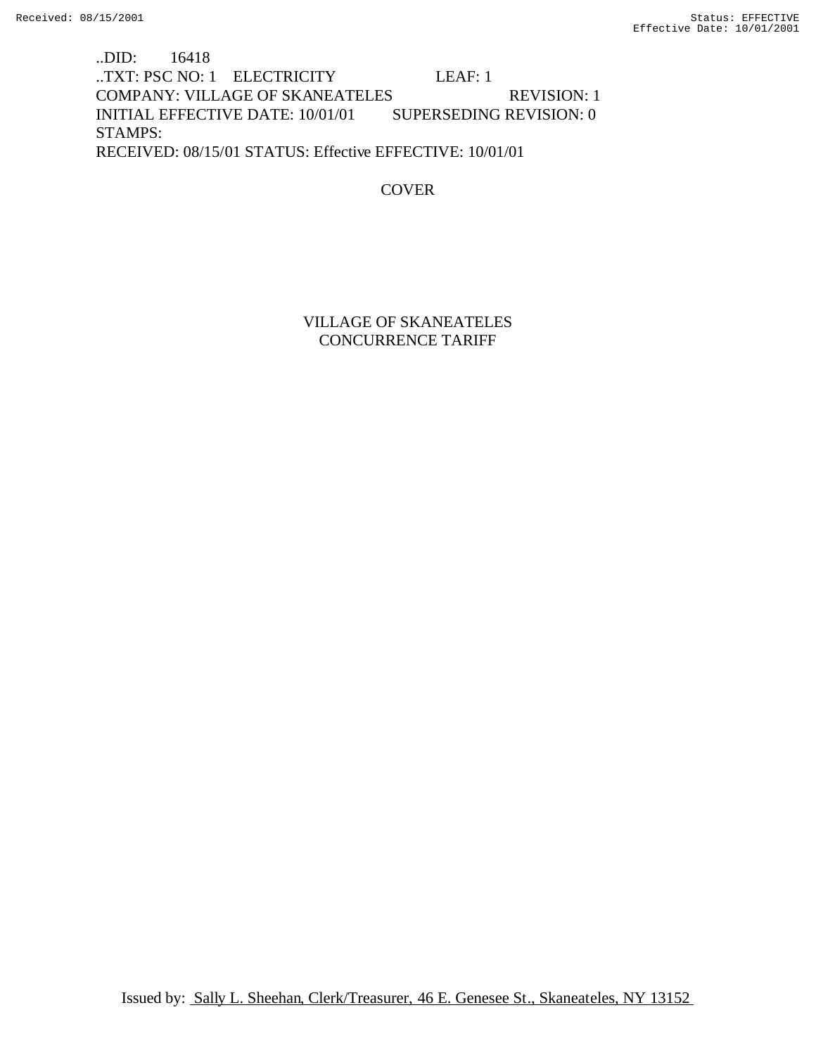..DID: 16418 ..TXT: PSC NO: 1 ELECTRICITY LEAF: 1 COMPANY: VILLAGE OF SKANEATELES REVISION: 1 INITIAL EFFECTIVE DATE: 10/01/01 SUPERSEDING REVISION: 0 STAMPS: RECEIVED: 08/15/01 STATUS: Effective EFFECTIVE: 10/01/01

COVER

VILLAGE OF SKANEATELES CONCURRENCE TARIFF

Issued by: Sally L. Sheehan, Clerk/Treasurer, 46 E. Genesee St., Skaneateles, NY 13152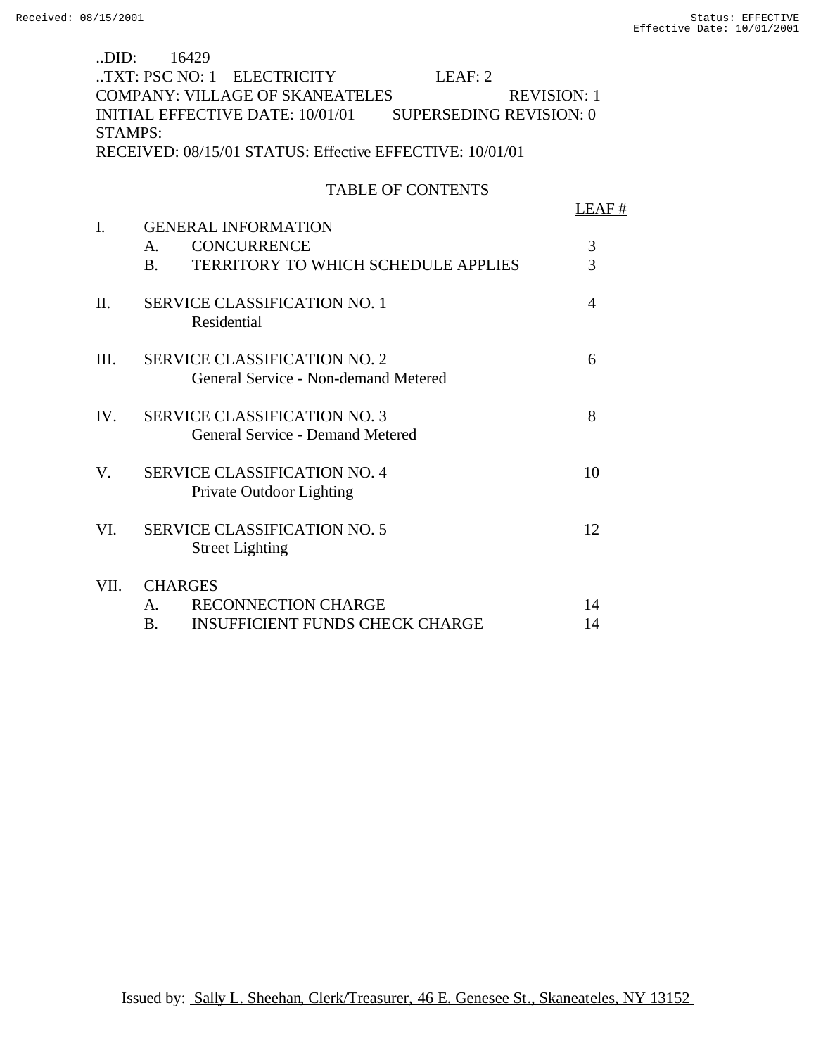| .DID:                                                    | 16429                                                        |                |  |  |  |  |
|----------------------------------------------------------|--------------------------------------------------------------|----------------|--|--|--|--|
|                                                          | TXT: PSC NO: 1 ELECTRICITY<br>LEAF: 2                        |                |  |  |  |  |
|                                                          | <b>COMPANY: VILLAGE OF SKANEATELES</b><br><b>REVISION: 1</b> |                |  |  |  |  |
|                                                          | INITIAL EFFECTIVE DATE: 10/01/01 SUPERSEDING REVISION: 0     |                |  |  |  |  |
| <b>STAMPS:</b>                                           |                                                              |                |  |  |  |  |
| RECEIVED: 08/15/01 STATUS: Effective EFFECTIVE: 10/01/01 |                                                              |                |  |  |  |  |
|                                                          |                                                              |                |  |  |  |  |
|                                                          | <b>TABLE OF CONTENTS</b>                                     |                |  |  |  |  |
|                                                          |                                                              | LEAF#          |  |  |  |  |
| $\mathbf{I}$ .                                           | <b>GENERAL INFORMATION</b>                                   |                |  |  |  |  |
|                                                          | <b>CONCURRENCE</b><br>A.                                     | 3              |  |  |  |  |
|                                                          | <b>TERRITORY TO WHICH SCHEDULE APPLIES</b><br><b>B.</b>      | $\overline{3}$ |  |  |  |  |
|                                                          |                                                              |                |  |  |  |  |
| $\Pi$ .                                                  | <b>SERVICE CLASSIFICATION NO. 1</b>                          | $\overline{4}$ |  |  |  |  |
|                                                          | Residential                                                  |                |  |  |  |  |
|                                                          |                                                              |                |  |  |  |  |
| III.                                                     | <b>SERVICE CLASSIFICATION NO. 2</b>                          | 6              |  |  |  |  |
|                                                          | General Service - Non-demand Metered                         |                |  |  |  |  |
|                                                          |                                                              |                |  |  |  |  |
| IV.                                                      | <b>SERVICE CLASSIFICATION NO. 3</b>                          | 8              |  |  |  |  |
|                                                          | General Service - Demand Metered                             |                |  |  |  |  |
|                                                          |                                                              |                |  |  |  |  |
| V.                                                       | <b>SERVICE CLASSIFICATION NO. 4</b>                          | 10             |  |  |  |  |
|                                                          | Private Outdoor Lighting                                     |                |  |  |  |  |
|                                                          |                                                              |                |  |  |  |  |
| VI.                                                      | <b>SERVICE CLASSIFICATION NO. 5</b>                          | 12             |  |  |  |  |
|                                                          | <b>Street Lighting</b>                                       |                |  |  |  |  |
|                                                          |                                                              |                |  |  |  |  |

# VII. CHARGES A. RECONNECTION CHARGE 14 B. INSUFFICIENT FUNDS CHECK CHARGE 14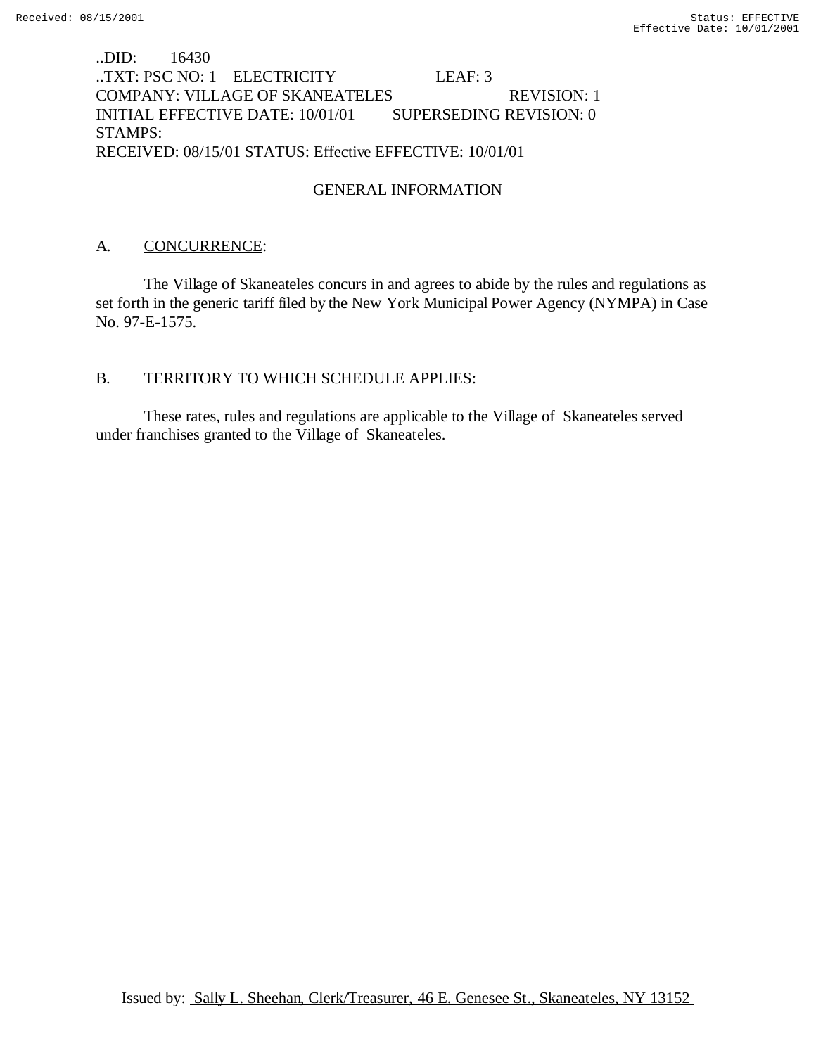# ..DID: 16430 ..TXT: PSC NO: 1 ELECTRICITY LEAF: 3 COMPANY: VILLAGE OF SKANEATELES REVISION: 1 INITIAL EFFECTIVE DATE: 10/01/01 SUPERSEDING REVISION: 0 STAMPS: RECEIVED: 08/15/01 STATUS: Effective EFFECTIVE: 10/01/01

# GENERAL INFORMATION

### A. CONCURRENCE:

The Village of Skaneateles concurs in and agrees to abide by the rules and regulations as set forth in the generic tariff filed by the New York Municipal Power Agency (NYMPA) in Case No. 97-E-1575.

### B. TERRITORY TO WHICH SCHEDULE APPLIES:

These rates, rules and regulations are applicable to the Village of Skaneateles served under franchises granted to the Village of Skaneateles.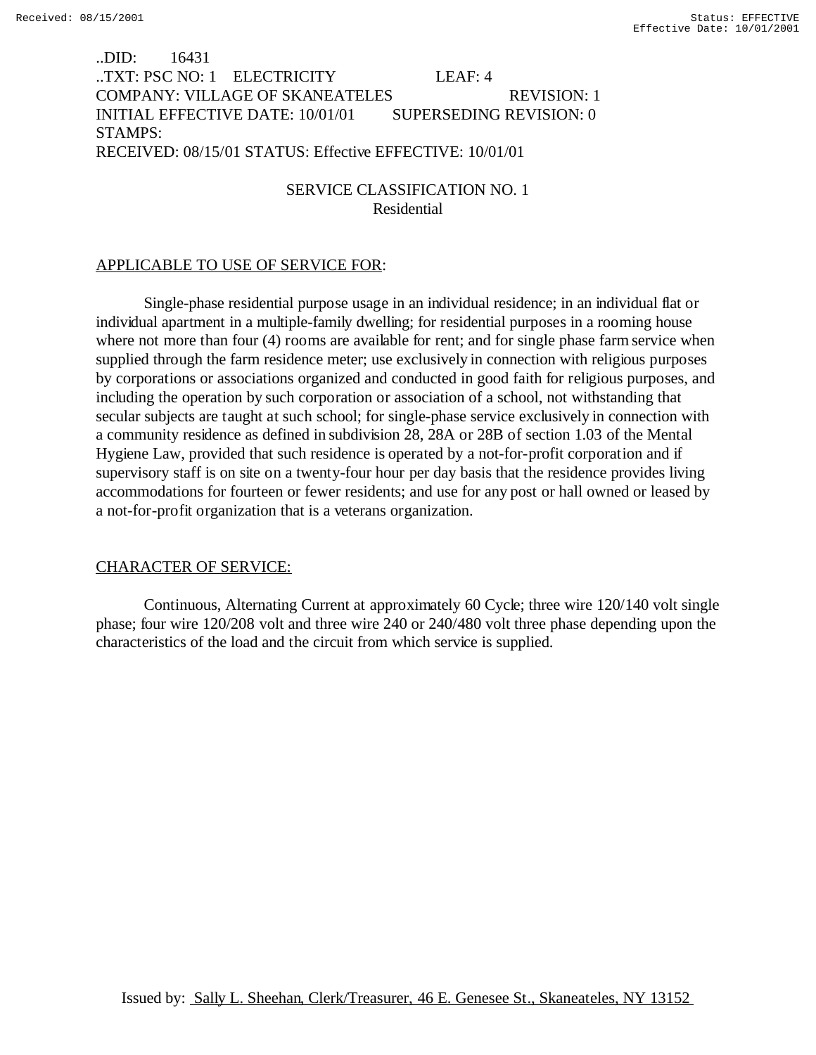# ..DID: 16431 ..TXT: PSC NO: 1 ELECTRICITY LEAF: 4 COMPANY: VILLAGE OF SKANEATELES REVISION: 1 INITIAL EFFECTIVE DATE: 10/01/01 SUPERSEDING REVISION: 0 STAMPS: RECEIVED: 08/15/01 STATUS: Effective EFFECTIVE: 10/01/01

# SERVICE CLASSIFICATION NO. 1 Residential

### APPLICABLE TO USE OF SERVICE FOR:

Single-phase residential purpose usage in an individual residence; in an individual flat or individual apartment in a multiple-family dwelling; for residential purposes in a rooming house where not more than four (4) rooms are available for rent; and for single phase farm service when supplied through the farm residence meter; use exclusively in connection with religious purposes by corporations or associations organized and conducted in good faith for religious purposes, and including the operation by such corporation or association of a school, not withstanding that secular subjects are taught at such school; for single-phase service exclusively in connection with a community residence as defined in subdivision 28, 28A or 28B of section 1.03 of the Mental Hygiene Law, provided that such residence is operated by a not-for-profit corporation and if supervisory staff is on site on a twenty-four hour per day basis that the residence provides living accommodations for fourteen or fewer residents; and use for any post or hall owned or leased by a not-for-profit organization that is a veterans organization.

### CHARACTER OF SERVICE:

Continuous, Alternating Current at approximately 60 Cycle; three wire 120/140 volt single phase; four wire 120/208 volt and three wire 240 or 240/480 volt three phase depending upon the characteristics of the load and the circuit from which service is supplied.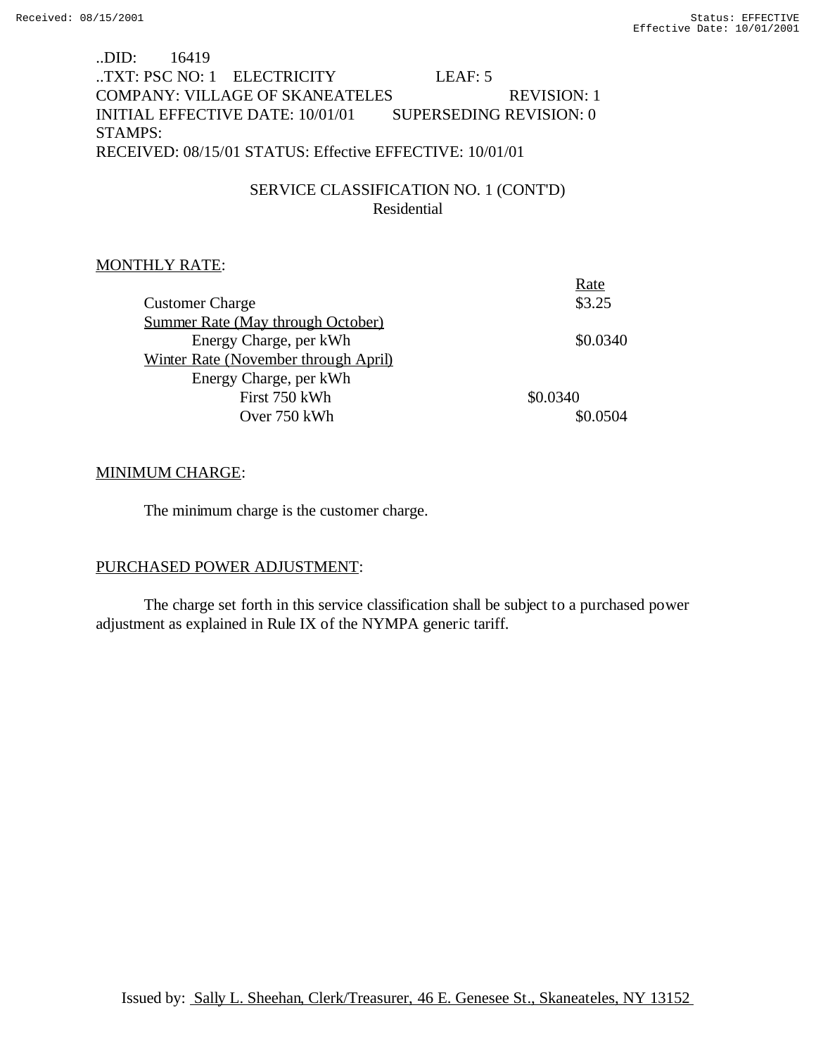# ..DID: 16419 ..TXT: PSC NO: 1 ELECTRICITY LEAF: 5 COMPANY: VILLAGE OF SKANEATELES REVISION: 1 INITIAL EFFECTIVE DATE: 10/01/01 SUPERSEDING REVISION: 0 STAMPS: RECEIVED: 08/15/01 STATUS: Effective EFFECTIVE: 10/01/01

# SERVICE CLASSIFICATION NO. 1 (CONT'D) Residential

# MONTHLY RATE:

| Rate     |
|----------|
| \$3.25   |
|          |
| \$0.0340 |
|          |
|          |
| \$0.0340 |
| \$0.0504 |
|          |

# MINIMUM CHARGE:

The minimum charge is the customer charge.

# PURCHASED POWER ADJUSTMENT:

The charge set forth in this service classification shall be subject to a purchased power adjustment as explained in Rule IX of the NYMPA generic tariff.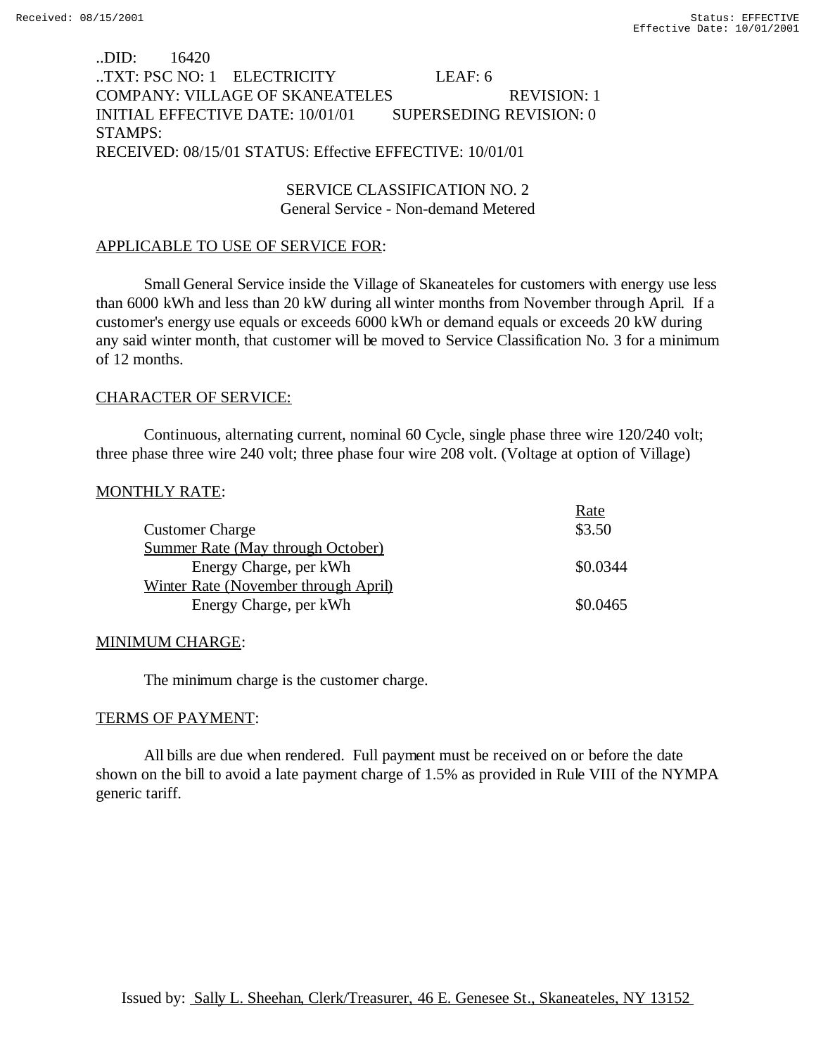### ..DID: 16420 ..TXT: PSC NO: 1 ELECTRICITY LEAF: 6 COMPANY: VILLAGE OF SKANEATELES REVISION: 1 INITIAL EFFECTIVE DATE: 10/01/01 SUPERSEDING REVISION: 0 STAMPS: RECEIVED: 08/15/01 STATUS: Effective EFFECTIVE: 10/01/01

SERVICE CLASSIFICATION NO. 2 General Service - Non-demand Metered

#### APPLICABLE TO USE OF SERVICE FOR:

Small General Service inside the Village of Skaneateles for customers with energy use less than 6000 kWh and less than 20 kW during all winter months from November through April. If a customer's energy use equals or exceeds 6000 kWh or demand equals or exceeds 20 kW during any said winter month, that customer will be moved to Service Classification No. 3 for a minimum of 12 months.

#### CHARACTER OF SERVICE:

Continuous, alternating current, nominal 60 Cycle, single phase three wire 120/240 volt; three phase three wire 240 volt; three phase four wire 208 volt. (Voltage at option of Village)

#### MONTHLY RATE:

|                                      | Rate     |
|--------------------------------------|----------|
| <b>Customer Charge</b>               | \$3.50   |
| Summer Rate (May through October)    |          |
| Energy Charge, per kWh               | \$0.0344 |
| Winter Rate (November through April) |          |
| Energy Charge, per kWh               | \$0.0465 |

#### MINIMUM CHARGE:

The minimum charge is the customer charge.

#### TERMS OF PAYMENT:

All bills are due when rendered. Full payment must be received on or before the date shown on the bill to avoid a late payment charge of 1.5% as provided in Rule VIII of the NYMPA generic tariff.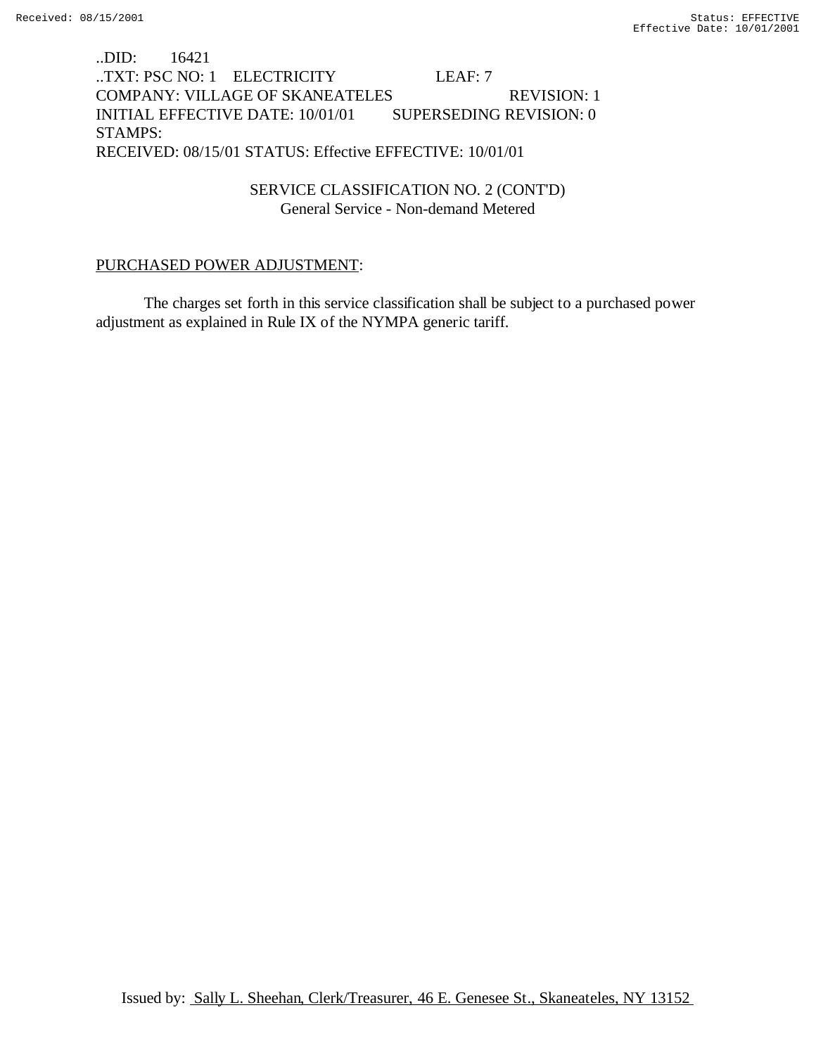# ..DID: 16421 ..TXT: PSC NO: 1 ELECTRICITY LEAF: 7 COMPANY: VILLAGE OF SKANEATELES REVISION: 1 INITIAL EFFECTIVE DATE: 10/01/01 SUPERSEDING REVISION: 0 STAMPS: RECEIVED: 08/15/01 STATUS: Effective EFFECTIVE: 10/01/01

SERVICE CLASSIFICATION NO. 2 (CONT'D) General Service - Non-demand Metered

#### PURCHASED POWER ADJUSTMENT:

The charges set forth in this service classification shall be subject to a purchased power adjustment as explained in Rule IX of the NYMPA generic tariff.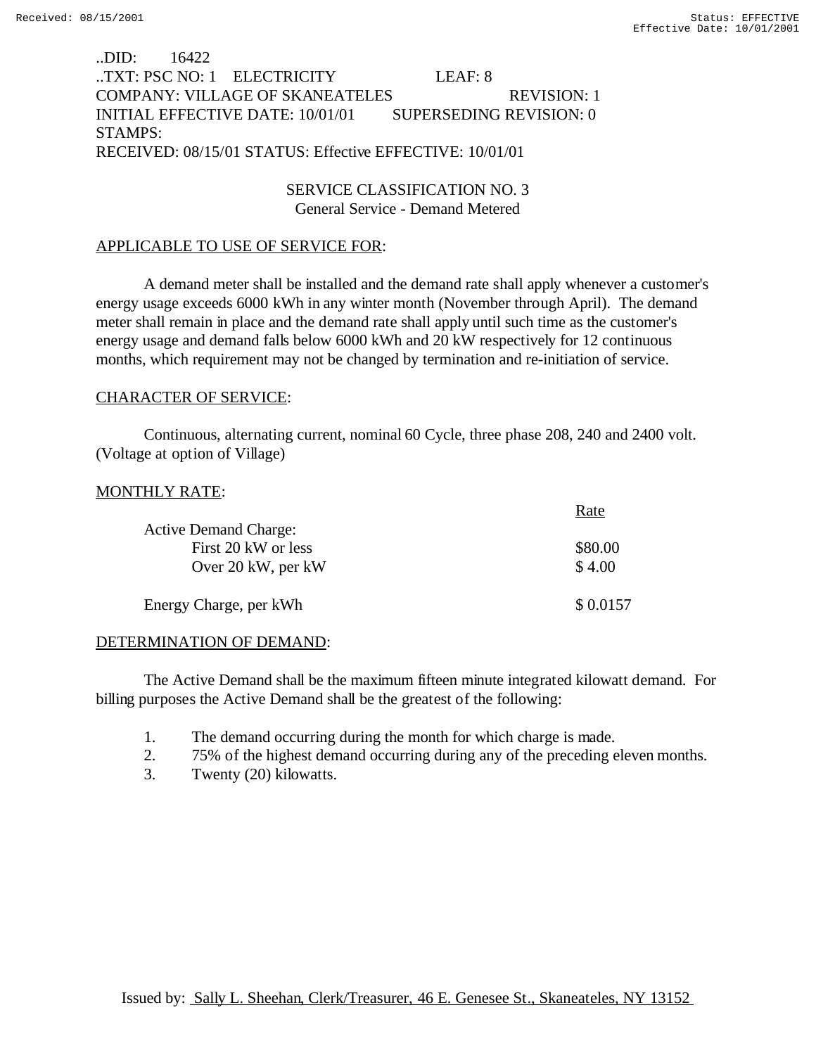### ..DID: 16422 ..TXT: PSC NO: 1 ELECTRICITY LEAF: 8 COMPANY: VILLAGE OF SKANEATELES REVISION: 1 INITIAL EFFECTIVE DATE: 10/01/01 SUPERSEDING REVISION: 0 STAMPS: RECEIVED: 08/15/01 STATUS: Effective EFFECTIVE: 10/01/01

### SERVICE CLASSIFICATION NO. 3 General Service - Demand Metered

### APPLICABLE TO USE OF SERVICE FOR:

A demand meter shall be installed and the demand rate shall apply whenever a customer's energy usage exceeds 6000 kWh in any winter month (November through April). The demand meter shall remain in place and the demand rate shall apply until such time as the customer's energy usage and demand falls below 6000 kWh and 20 kW respectively for 12 continuous months, which requirement may not be changed by termination and re-initiation of service.

#### CHARACTER OF SERVICE:

Continuous, alternating current, nominal 60 Cycle, three phase 208, 240 and 2400 volt. (Voltage at option of Village)

#### MONTHLY RATE:

|                              | Rate     |
|------------------------------|----------|
| <b>Active Demand Charge:</b> |          |
| First 20 kW or less          | \$80.00  |
| Over 20 kW, per kW           | \$4.00   |
| Energy Charge, per kWh       | \$0.0157 |

#### DETERMINATION OF DEMAND:

The Active Demand shall be the maximum fifteen minute integrated kilowatt demand. For billing purposes the Active Demand shall be the greatest of the following:

- 1. The demand occurring during the month for which charge is made.
- 2. 75% of the highest demand occurring during any of the preceding eleven months.
- 3. Twenty (20) kilowatts.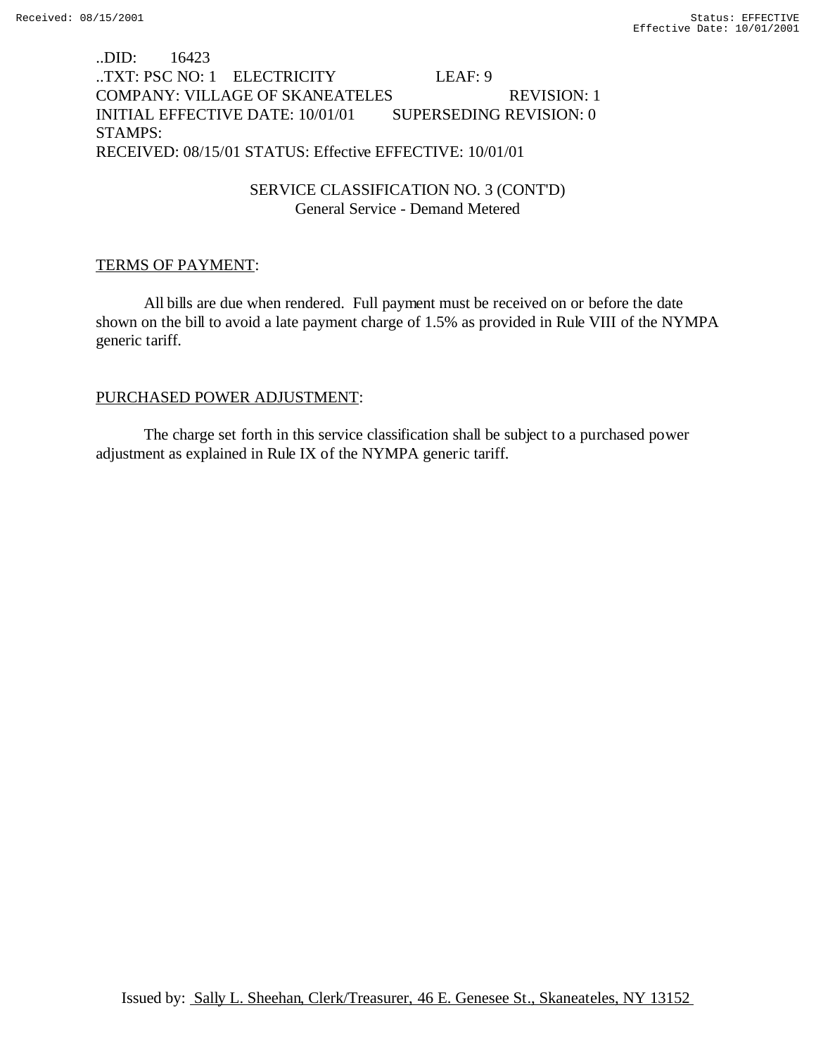## ..DID: 16423 ..TXT: PSC NO: 1 ELECTRICITY LEAF: 9 COMPANY: VILLAGE OF SKANEATELES REVISION: 1 INITIAL EFFECTIVE DATE: 10/01/01 SUPERSEDING REVISION: 0 STAMPS: RECEIVED: 08/15/01 STATUS: Effective EFFECTIVE: 10/01/01

## SERVICE CLASSIFICATION NO. 3 (CONT'D) General Service - Demand Metered

# TERMS OF PAYMENT:

All bills are due when rendered. Full payment must be received on or before the date shown on the bill to avoid a late payment charge of 1.5% as provided in Rule VIII of the NYMPA generic tariff.

### PURCHASED POWER ADJUSTMENT:

The charge set forth in this service classification shall be subject to a purchased power adjustment as explained in Rule IX of the NYMPA generic tariff.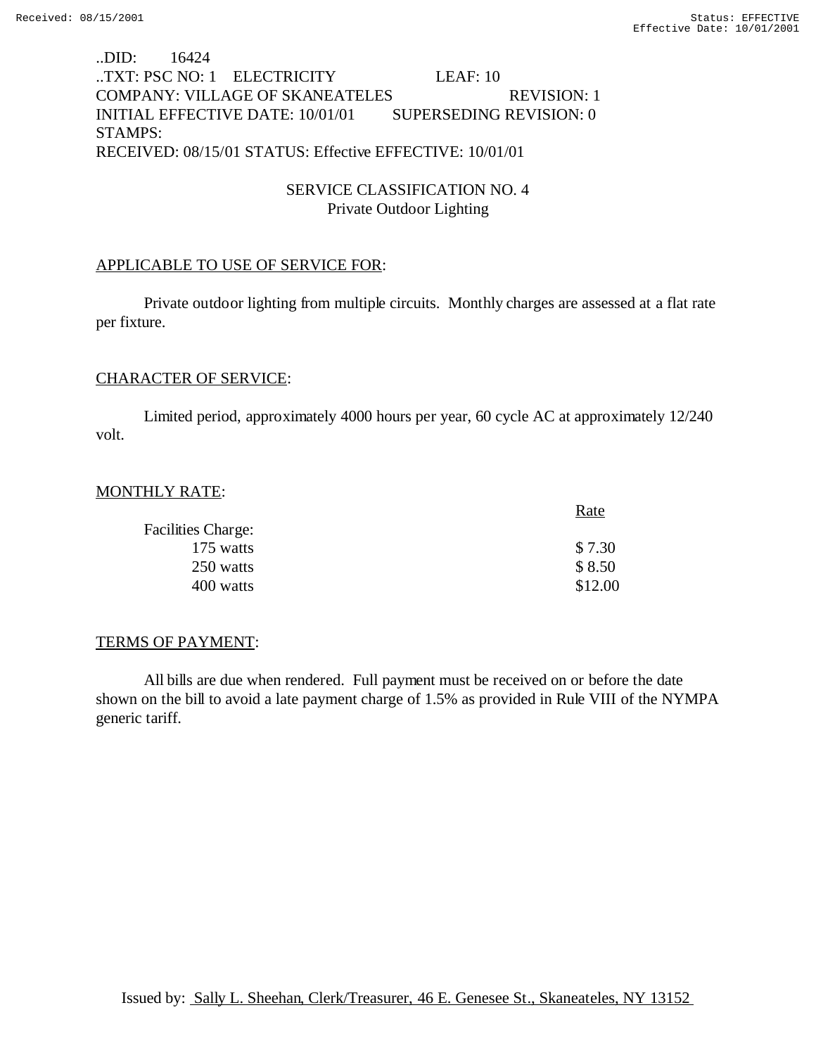### ..DID: 16424 ..TXT: PSC NO: 1 ELECTRICITY LEAF: 10 COMPANY: VILLAGE OF SKANEATELES REVISION: 1 INITIAL EFFECTIVE DATE: 10/01/01 SUPERSEDING REVISION: 0 STAMPS: RECEIVED: 08/15/01 STATUS: Effective EFFECTIVE: 10/01/01

# SERVICE CLASSIFICATION NO. 4 Private Outdoor Lighting

#### APPLICABLE TO USE OF SERVICE FOR:

Private outdoor lighting from multiple circuits. Monthly charges are assessed at a flat rate per fixture.

#### CHARACTER OF SERVICE:

Limited period, approximately 4000 hours per year, 60 cycle AC at approximately 12/240 volt.

#### MONTHLY RATE:

|                           | Rate    |
|---------------------------|---------|
| <b>Facilities Charge:</b> |         |
| 175 watts                 | \$7.30  |
| 250 watts                 | \$8.50  |
| 400 watts                 | \$12.00 |

#### TERMS OF PAYMENT:

All bills are due when rendered. Full payment must be received on or before the date shown on the bill to avoid a late payment charge of 1.5% as provided in Rule VIII of the NYMPA generic tariff.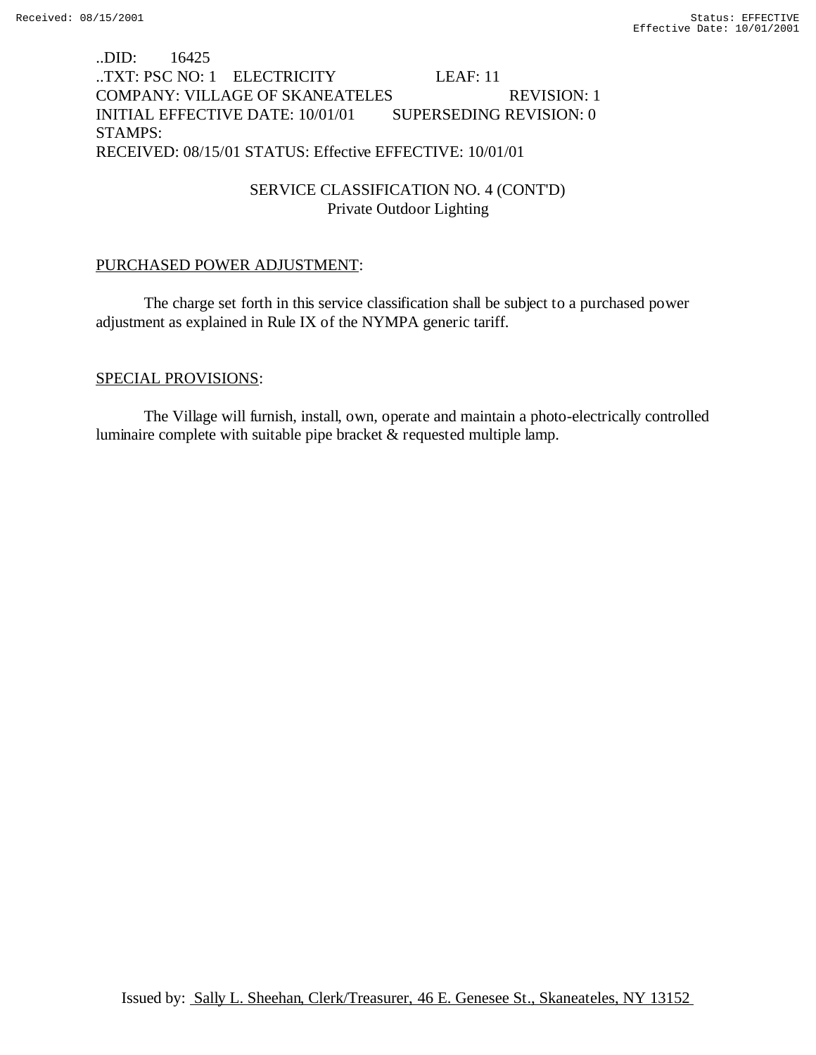# ..DID: 16425 ..TXT: PSC NO: 1 ELECTRICITY LEAF: 11 COMPANY: VILLAGE OF SKANEATELES REVISION: 1 INITIAL EFFECTIVE DATE: 10/01/01 SUPERSEDING REVISION: 0 STAMPS: RECEIVED: 08/15/01 STATUS: Effective EFFECTIVE: 10/01/01

SERVICE CLASSIFICATION NO. 4 (CONT'D) Private Outdoor Lighting

#### PURCHASED POWER ADJUSTMENT:

The charge set forth in this service classification shall be subject to a purchased power adjustment as explained in Rule IX of the NYMPA generic tariff.

#### SPECIAL PROVISIONS:

The Village will furnish, install, own, operate and maintain a photo-electrically controlled luminaire complete with suitable pipe bracket & requested multiple lamp.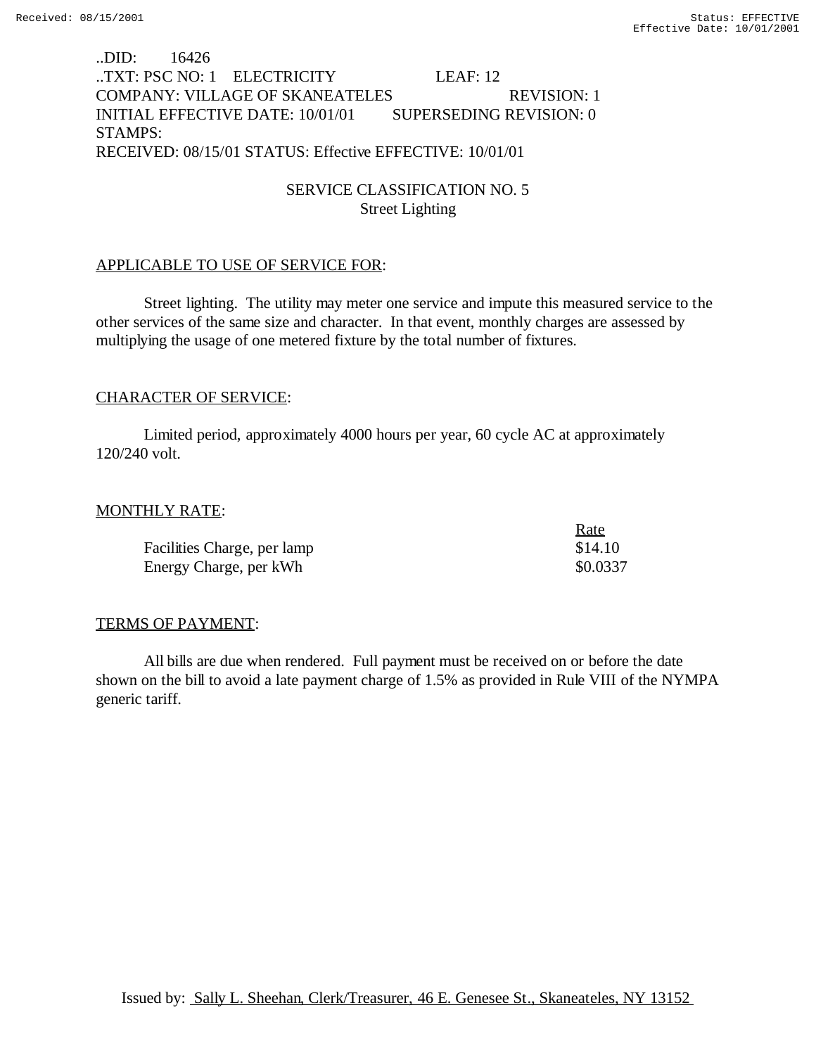### ..DID: 16426 ..TXT: PSC NO: 1 ELECTRICITY LEAF: 12 COMPANY: VILLAGE OF SKANEATELES REVISION: 1 INITIAL EFFECTIVE DATE: 10/01/01 SUPERSEDING REVISION: 0 STAMPS: RECEIVED: 08/15/01 STATUS: Effective EFFECTIVE: 10/01/01

# SERVICE CLASSIFICATION NO. 5 Street Lighting

#### APPLICABLE TO USE OF SERVICE FOR:

Street lighting. The utility may meter one service and impute this measured service to the other services of the same size and character. In that event, monthly charges are assessed by multiplying the usage of one metered fixture by the total number of fixtures.

### CHARACTER OF SERVICE:

Limited period, approximately 4000 hours per year, 60 cycle AC at approximately 120/240 volt.

#### MONTHLY RATE:

|                             | Rate     |
|-----------------------------|----------|
| Facilities Charge, per lamp | \$14.10  |
| Energy Charge, per kWh      | \$0.0337 |

#### TERMS OF PAYMENT:

All bills are due when rendered. Full payment must be received on or before the date shown on the bill to avoid a late payment charge of 1.5% as provided in Rule VIII of the NYMPA generic tariff.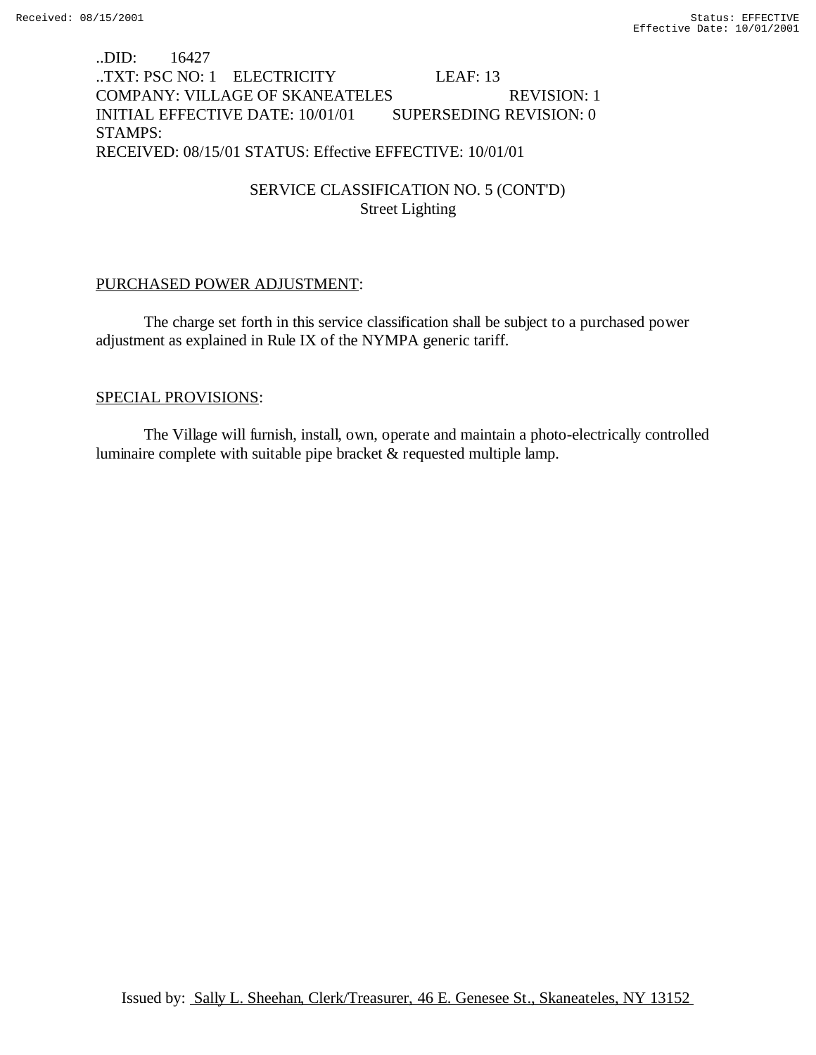# ..DID: 16427 ..TXT: PSC NO: 1 ELECTRICITY LEAF: 13 COMPANY: VILLAGE OF SKANEATELES REVISION: 1 INITIAL EFFECTIVE DATE: 10/01/01 SUPERSEDING REVISION: 0 STAMPS: RECEIVED: 08/15/01 STATUS: Effective EFFECTIVE: 10/01/01

# SERVICE CLASSIFICATION NO. 5 (CONT'D) Street Lighting

#### PURCHASED POWER ADJUSTMENT:

The charge set forth in this service classification shall be subject to a purchased power adjustment as explained in Rule IX of the NYMPA generic tariff.

#### SPECIAL PROVISIONS:

The Village will furnish, install, own, operate and maintain a photo-electrically controlled luminaire complete with suitable pipe bracket & requested multiple lamp.